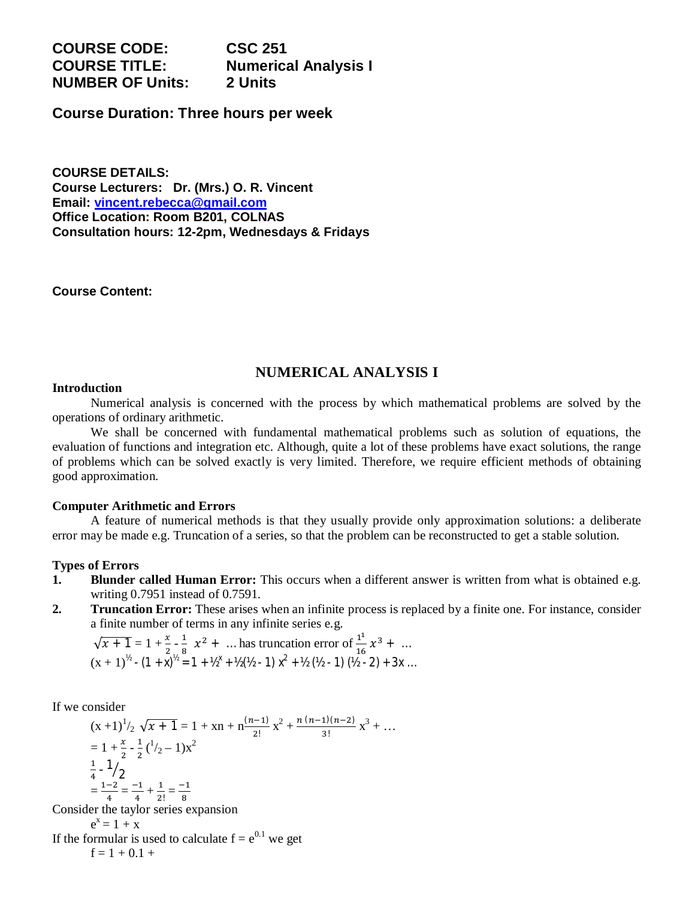# **COURSE CODE: CSC 251 COURSE TITLE: Numerical Analysis I NUMBER OF Units: 2 Units**

**Course Duration: Three hours per week**

**COURSE DETAILS: Course Lecturers: Dr. (Mrs.) O. R. Vincent Email: vincent.rebecca@gmail.com Office Location: Room B201, COLNAS Consultation hours: 12-2pm, Wednesdays & Fridays**

#### **Course Content:**

# **NUMERICAL ANALYSIS I**

#### **Introduction**

Numerical analysis is concerned with the process by which mathematical problems are solved by the operations of ordinary arithmetic.

We shall be concerned with fundamental mathematical problems such as solution of equations, the evaluation of functions and integration etc. Although, quite a lot of these problems have exact solutions, the range of problems which can be solved exactly is very limited. Therefore, we require efficient methods of obtaining good approximation.

### **Computer Arithmetic and Errors**

A feature of numerical methods is that they usually provide only approximation solutions: a deliberate error may be made e.g. Truncation of a series, so that the problem can be reconstructed to get a stable solution.

### **Types of Errors**

- **1. Blunder called Human Error:** This occurs when a different answer is written from what is obtained e.g. writing 0.7951 instead of 0.7591.
- **2. Truncation Error:** These arises when an infinite process is replaced by a finite one. For instance, consider a finite number of terms in any infinite series e.g.

$$
\sqrt{x+1} = 1 + \frac{x}{2} - \frac{1}{8}x^2 + \dots \text{ has truncation error of } \frac{1^1}{16}x^3 + \dots
$$
  

$$
(x+1)^{1/2} - (1+x)^{1/2} = 1 + 1/2^{x} + 1/2(1/2 - 1)x^{2} + 1/2(1/2 - 1)(1/2 - 2) + 3x \dots
$$

If we consider

$$
(x+1)^{1/2} \sqrt{x+1} = 1 + xn + n\frac{(n-1)}{2!}x^{2} + \frac{n(n-1)(n-2)}{3!}x^{3} + ...
$$
  
=  $1 + \frac{x}{2} - \frac{1}{2}(\frac{1}{2} - 1)x^{2}$   
 $\frac{1}{4} - \frac{1}{2}$   
=  $\frac{1-2}{4} = \frac{-1}{4} + \frac{1}{2!} = \frac{-1}{8}$   
der the taylor series expansion

Consider the taylor series expansion  $e^x = 1 + x$ 

If the formular is used to calculate  $f = e^{0.1}$  we get  $f = 1 + 0.1 +$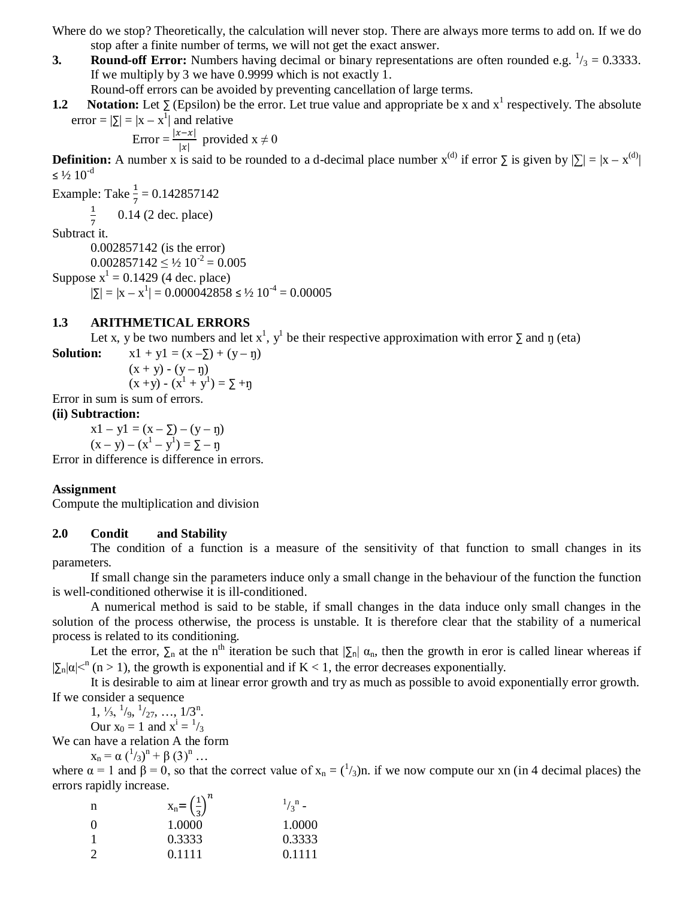Where do we stop? Theoretically, the calculation will never stop. There are always more terms to add on. If we do stop after a finite number of terms, we will not get the exact answer.

**3. Round-off Error:** Numbers having decimal or binary representations are often rounded e.g.  $\frac{1}{3} = 0.3333$ . If we multiply by 3 we have 0.9999 which is not exactly 1.

Round-off errors can be avoided by preventing cancellation of large terms.

**1.2** Notation: Let  $\sum$  (Epsilon) be the error. Let true value and appropriate be x and  $x^1$  respectively. The absolute error =  $|\Sigma| = |x - x^1|$  and relative

Error =  $\frac{|x-x|}{|x|}$  provided  $x \neq 0$ 

**Definition:** A number x is said to be rounded to a d-decimal place number  $x^{(d)}$  if error  $\sum$  is given by  $|\sum| = |x - x^{(d)}|$  $\leq$  1/2 10<sup>-d</sup>

Example: Take  $\frac{1}{7}$  = 0.142857142  $\mathbf 1$ 0.14 (2 dec. place)

7 Subtract it.

0.002857142 (is the error)

 $0.002857142 \leq \frac{1}{2}10^{-2} = 0.005$ 

Suppose  $x^1 = 0.1429$  (4 dec. place)

 $|\Sigma| = |x - x^1| = 0.000042858 \leq 1/2 10^{-4} = 0.00005$ 

### **1.3 ARITHMETICAL ERRORS**

Let x, y be two numbers and let  $x^1$ ,  $y^1$  be their respective approximation with error  $\Sigma$  and  $\eta$  (eta)

**Solution:**  $x1 + y1 = (x - \sum) + (y - \eta)$ 

$$
(x + y) - (y - \eta) (x + y) - (x1 + y1) = \sum + \eta
$$

Error in sum is sum of errors.

### **(ii) Subtraction:**

 $x1 - y1 = (x - \Sigma) - (y - \eta)$  $(x - y) - (x<sup>1</sup> - y<sup>1</sup>) = \sum - \eta$ 

Error in difference is difference in errors.

#### **Assignment**

Compute the multiplication and division

#### **2.0 Condit and Stability**

The condition of a function is a measure of the sensitivity of that function to small changes in its parameters.

If small change sin the parameters induce only a small change in the behaviour of the function the function is well-conditioned otherwise it is ill-conditioned.

A numerical method is said to be stable, if small changes in the data induce only small changes in the solution of the process otherwise, the process is unstable. It is therefore clear that the stability of a numerical process is related to its conditioning.

Let the error,  $\Sigma_n$  at the n<sup>th</sup> iteration be such that  $|\Sigma_n| \alpha_n$ , then the growth in eror is called linear whereas if  $|\sum_{n} |\alpha| <^{n} (n > 1)$ , the growth is exponential and if K < 1, the error decreases exponentially.

It is desirable to aim at linear error growth and try as much as possible to avoid exponentially error growth. If we consider a sequence

 $1, \frac{1}{3}, \frac{1}{9}, \frac{1}{27}, \dots, \frac{1}{3}^n$ . Our  $x_0 = 1$  and  $x^i = \frac{1}{3}$ 

We can have a relation A the form

 $x_n = \alpha (\binom{1}{3})^n + \beta (3)^n ...$ 

where  $\alpha = 1$  and  $\beta = 0$ , so that the correct value of  $x_n = \frac{1}{3}$ . if we now compute our xn (in 4 decimal places) the errors rapidly increase.

| n             | $X_n = \left(\frac{1}{3}\right)^n$ | $\frac{1}{3}$ - |
|---------------|------------------------------------|-----------------|
| - 0           | 1.0000                             | 1.0000          |
|               | 0.3333                             | 0.3333          |
| $\mathcal{D}$ | 0.1111                             | 0.1111          |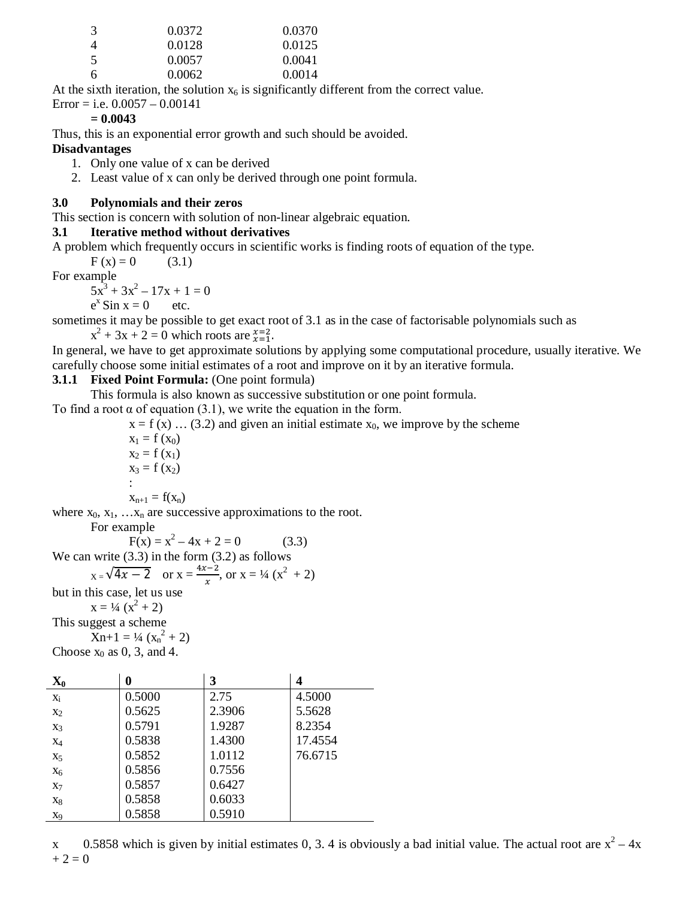| -3 | 0.0372 | 0.0370 |
|----|--------|--------|
|    | 0.0128 | 0.0125 |
| -5 | 0.0057 | 0.0041 |
| 6  | 0.0062 | 0.0014 |

At the sixth iteration, the solution  $x_6$  is significantly different from the correct value.

Error = i.e.  $0.0057 - 0.00141$ 

## **= 0.0043**

Thus, this is an exponential error growth and such should be avoided.

## **Disadvantages**

1. Only one value of x can be derived

2. Least value of x can only be derived through one point formula.

## **3.0 Polynomials and their zeros**

This section is concern with solution of non-linear algebraic equation.

### **3.1 Iterative method without derivatives**

A problem which frequently occurs in scientific works is finding roots of equation of the type.

 $F(x) = 0$  (3.1)

For example

 $5x^3 + 3x^2 - 17x + 1 = 0$ 

 $e^x$  Sin  $x = 0$  etc.

sometimes it may be possible to get exact root of 3.1 as in the case of factorisable polynomials such as  $x^2 + 3x + 2 = 0$  which roots are  $\frac{x=2}{x=1}$ .

In general, we have to get approximate solutions by applying some computational procedure, usually iterative. We carefully choose some initial estimates of a root and improve on it by an iterative formula.

# **3.1.1 Fixed Point Formula:** (One point formula)

This formula is also known as successive substitution or one point formula.

To find a root  $\alpha$  of equation (3.1), we write the equation in the form.

 $x = f(x)$  ... (3.2) and given an initial estimate  $x_0$ , we improve by the scheme

 $x_1 = f(x_0)$  $x_2 = f(x_1)$  $x_3 = f(x_2)$ :  $x_{n+1} = f(x_n)$ 

where  $x_0, x_1, \ldots, x_n$  are successive approximations to the root.

For example

 $F(x) = x^2 - 4x + 2 = 0$  (3.3)

We can write (3.3) in the form (3.2) as follows

$$
x = \sqrt{4x - 2}
$$
 or  $x = \frac{4x - 2}{x}$ , or  $x = \frac{1}{4}(x^2 + 2)$ 

but in this case, let us use

 $x = \frac{1}{4}(x^2 + 2)$ This suggest a scheme  $Xn+1 = \frac{1}{4}(x_n^2 + 2)$ 

Choose  $x_0$  as 0, 3, and 4.

| $\mathbf{X}_0$ | 0      | 3      | 4       |
|----------------|--------|--------|---------|
| $X_i$          | 0.5000 | 2.75   | 4.5000  |
| $X_2$          | 0.5625 | 2.3906 | 5.5628  |
| $X_3$          | 0.5791 | 1.9287 | 8.2354  |
| $X_4$          | 0.5838 | 1.4300 | 17.4554 |
| X <sub>5</sub> | 0.5852 | 1.0112 | 76.6715 |
| $X_6$          | 0.5856 | 0.7556 |         |
| $X_7$          | 0.5857 | 0.6427 |         |
| $X_8$          | 0.5858 | 0.6033 |         |
| X <sub>9</sub> | 0.5858 | 0.5910 |         |

x 0.5858 which is given by initial estimates 0, 3.4 is obviously a bad initial value. The actual root are  $x^2 - 4x$  $+ 2 = 0$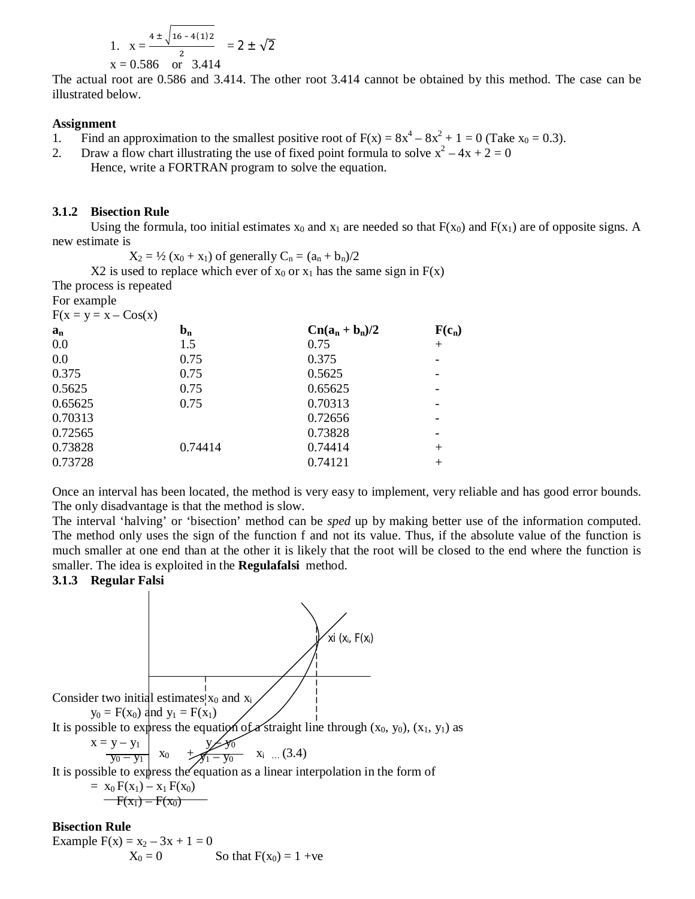1. 
$$
x = \frac{4 \pm \sqrt{16 - 4(1)2}}{2} = 2 \pm \sqrt{2}
$$
  
x = 0.586 or 3.414

The actual root are 0.586 and 3.414. The other root 3.414 cannot be obtained by this method. The case can be illustrated below.

#### **Assignment**

- 1. Find an approximation to the smallest positive root of  $F(x) = 8x^4 8x^2 + 1 = 0$  (Take  $x_0 = 0.3$ ).
- 2. Draw a flow chart illustrating the use of fixed point formula to solve  $x^2 4x + 2 = 0$ Hence, write a FORTRAN program to solve the equation.

### **3.1.2 Bisection Rule**

Using the formula, too initial estimates  $x_0$  and  $x_1$  are needed so that  $F(x_0)$  and  $F(x_1)$  are of opposite signs. A new estimate is

 $X_2 = \frac{1}{2} (x_0 + x_1)$  of generally  $C_n = (a_n + b_n)/2$ 

X2 is used to replace which ever of  $x_0$  or  $x_1$  has the same sign in  $F(x)$ 

The process is repeated

| For example              |  |
|--------------------------|--|
| $F(x - y - x - C_0s(x))$ |  |

| $1(\Delta - \gamma - \Delta - \text{CUS}(\Delta))$ |         |                   |          |
|----------------------------------------------------|---------|-------------------|----------|
| $a_n$                                              | $b_n$   | $Cn(a_n + b_n)/2$ | $F(c_n)$ |
| 0.0                                                | 1.5     | 0.75              | $+$      |
| 0.0                                                | 0.75    | 0.375             |          |
| 0.375                                              | 0.75    | 0.5625            |          |
| 0.5625                                             | 0.75    | 0.65625           |          |
| 0.65625                                            | 0.75    | 0.70313           |          |
| 0.70313                                            |         | 0.72656           |          |
| 0.72565                                            |         | 0.73828           |          |
| 0.73828                                            | 0.74414 | 0.74414           | $^{+}$   |
| 0.73728                                            |         | 0.74121           | $^{+}$   |
|                                                    |         |                   |          |

Once an interval has been located, the method is very easy to implement, very reliable and has good error bounds. The only disadvantage is that the method is slow.

The interval 'halving' or 'bisection' method can be *sped* up by making better use of the information computed. The method only uses the sign of the function f and not its value. Thus, if the absolute value of the function is much smaller at one end than at the other it is likely that the root will be closed to the end where the function is smaller. The idea is exploited in the **Regulafalsi** method.

### **3.1.3 Regular Falsi**



$$
F(x_1) - F(x_0)
$$

#### **Bisection Rule**

Example  $F(x) = x_2 - 3x + 1 = 0$ <br> $X_0 = 0$ So that  $F(x_0) = 1 +ve$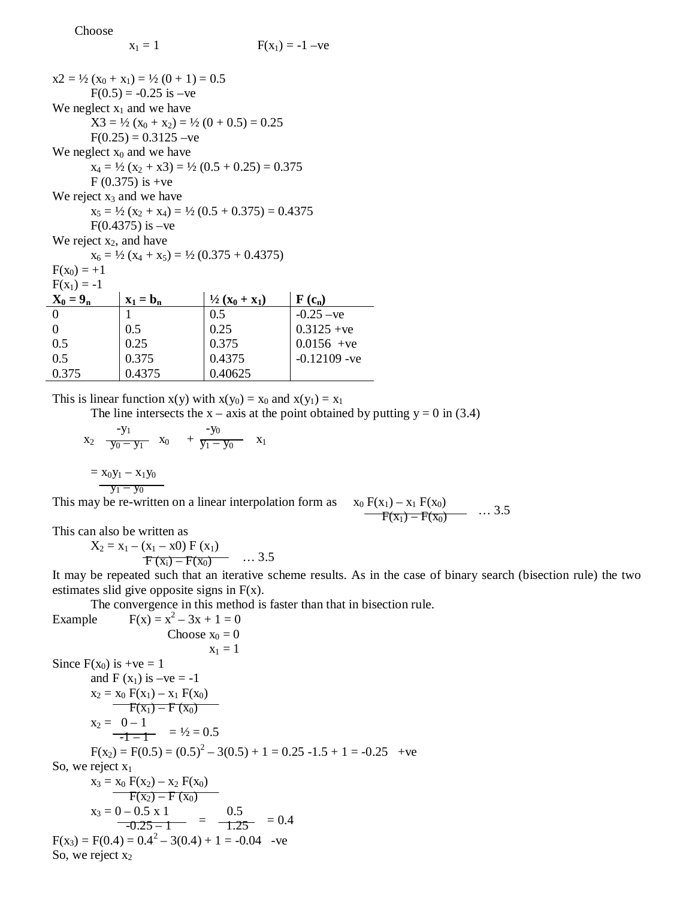Choose

|                             | $x2 = \frac{1}{2}(x_0 + x_1) = \frac{1}{2}(0 + 1) = 0.5$     |                                                                    |                            |
|-----------------------------|--------------------------------------------------------------|--------------------------------------------------------------------|----------------------------|
|                             | $F(0.5) = -0.25$ is $-ve$                                    |                                                                    |                            |
|                             | We neglect $x_1$ and we have                                 |                                                                    |                            |
|                             | $X3 = \frac{1}{2}(x_0 + x_2) = \frac{1}{2}(0 + 0.5) = 0.25$  |                                                                    |                            |
|                             | $F(0.25) = 0.3125 - ve$                                      |                                                                    |                            |
|                             | We neglect $x_0$ and we have                                 |                                                                    |                            |
|                             |                                                              | $x_4 = \frac{1}{2}(x_2 + x_3) = \frac{1}{2}(0.5 + 0.25) = 0.375$   |                            |
|                             | $F(0.375)$ is +ve                                            |                                                                    |                            |
| We reject $x_3$ and we have |                                                              |                                                                    |                            |
|                             |                                                              | $x_5 = \frac{1}{2}(x_2 + x_4) = \frac{1}{2}(0.5 + 0.375) = 0.4375$ |                            |
|                             | $F(0.4375)$ is $-ve$                                         |                                                                    |                            |
| We reject $x_2$ , and have  |                                                              |                                                                    |                            |
|                             | $x_6 = \frac{1}{2}(x_4 + x_5) = \frac{1}{2}(0.375 + 0.4375)$ |                                                                    |                            |
| $F(x_0) = +1$               |                                                              |                                                                    |                            |
| $F(x_1) = -1$               |                                                              |                                                                    |                            |
| $X_0 = 9_n$                 | $\mathbf{x}_1 = \mathbf{b}_n$                                | $\frac{1}{2}(x_0 + x_1)$                                           | $\mathbf{F}(\mathbf{c}_n)$ |
| $\overline{0}$              | 1                                                            | 0.5                                                                | $-0.25 - ve$               |
| $\overline{0}$              | 0.5                                                          | 0.25                                                               | $0.3125 + ve$              |
| 0.5                         | 0.25                                                         | 0.375                                                              | $0.0156 +ve$               |
| 0.5                         | 0.375                                                        | 0.4375                                                             | $-0.12109 - ve$            |
| 0.375                       | 0.4375                                                       | 0.40625                                                            |                            |

This is linear function  $x(y)$  with  $x(y_0) = x_0$  and  $x(y_1) = x_1$ 

The line intersects the  $x - axis$  at the point obtained by putting  $y = 0$  in (3.4)

$$
x_2 \quad \frac{-y_1}{y_0 - y_1} \quad x_0 \quad + \quad \frac{-y_0}{y_1 - y_0} \quad x_1
$$
\n
$$
= x_0 y_1 - x_1 y_0
$$
\nThis may be re-written on a linear interpolation form as  $x_0 F(x_1) - x_1 F(x_0)$ 

Thus may be re-written on a linear interpolation form as 
$$
x_0 F(x_1) - x_1 F(x_0)
$$
 ... 3.5  

$$
F(x_1) - F(x_0)
$$
 ... 3.5

This can also be written as

 $X_2 = x_1 - (x_1 - x0) F (x_1)$  $F(x_i) - F(x_0)$  ... 3.5

It may be repeated such that an iterative scheme results. As in the case of binary search (bisection rule) the two estimates slid give opposite signs in  $F(x)$ .

The convergence in this method is faster than that in bisection rule.

 $-ve$ 

Example  $F(x) = x^2 - 3x + 1 = 0$ Choose  $x_0 = 0$  $x_1 = 1$ Since  $F(x_0)$  is  $+ve = 1$ and  $F(x_1)$  is  $-ve = -1$  $x_2 = x_0 F(x_1) - x_1 F(x_0)$  $F(x_1) - F(x_0)$  $x_2 = 0 - 1$  $\frac{1}{-1-1}$  =  $\frac{1}{2}$  = 0.5  $F(x_2) = F(0.5) = (0.5)^2 - 3(0.5) + 1 = 0.25 - 1.5 + 1 = -0.25$  +ve  $S_0$ , we reject  $x_1$ 

30, we reject x1  
\n
$$
x_3 = x_0 F(x_2) - x_2 F(x_0)
$$
\n
$$
F(x_2) - F(x_0)
$$
\n
$$
x_3 = 0 - 0.5 \times 1
$$
\n
$$
-0.25 - 1 = 0.5
$$
\n
$$
F(x_3) = F(0.4) = 0.4^2 - 3(0.4) + 1 = -0.04
$$
\n
$$
-0.25 - 1 = 0.4
$$
\nSo, we reject x<sub>2</sub>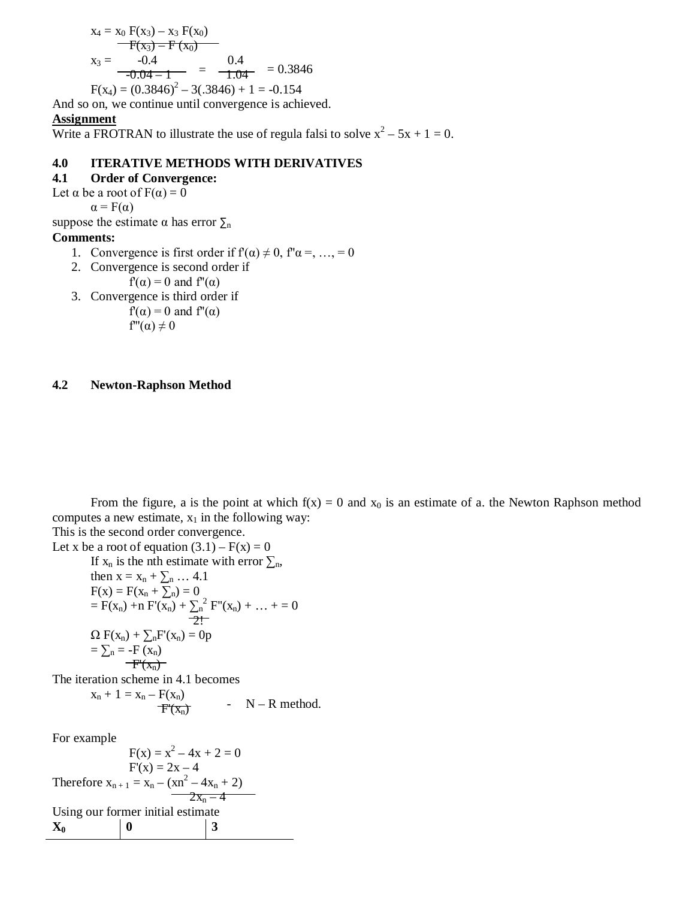$$
x_4 = x_0 F(x_3) - x_3 F(x_0)
$$
  
\n
$$
F(x_3) - F(x_0)
$$
  
\n
$$
x_3 = -0.4
$$
  
\n
$$
-0.04 - 1 = -0.3846
$$
  
\n
$$
F(x_4) = (0.3846)^2 - 3(.3846) + 1 = -0.154
$$

And so on, we continue until convergence is achieved.

#### **Assignment**

Write a FROTRAN to illustrate the use of regula falsi to solve  $x^2 - 5x + 1 = 0$ .

### **4.0 ITERATIVE METHODS WITH DERIVATIVES**

## **4.1 Order of Convergence:**

Let  $\alpha$  be a root of  $F(\alpha) = 0$ 

 $\alpha = F(\alpha)$ 

suppose the estimate  $\alpha$  has error  $\Sigma_n$ 

### **Comments:**

- 1. Convergence is first order if  $f'(\alpha) \neq 0$ ,  $f''\alpha =$ , ..., = 0
- 2. Convergence is second order if

 $f'(\alpha) = 0$  and  $f''(\alpha)$ 

3. Convergence is third order if  $f'(\alpha) = 0$  and  $f''(\alpha)$ 

$$
f''(\alpha) \neq 0
$$

### **4.2 Newton-Raphson Method**

From the figure, a is the point at which  $f(x) = 0$  and  $x_0$  is an estimate of a. the Newton Raphson method computes a new estimate,  $x_1$  in the following way:

This is the second order convergence. Let x be a root of equation  $(3.1) - F(x) = 0$ If  $x_n$  is the nth estimate with error  $\sum_n$ , then  $x = x_n + \sum_{n} \ldots 4.1$  $F(x) = F(x_n + \sum n) = 0$  $= F(x_n) + n F'(x_n) + \sum_{n=1}^{\infty} F''(x_n) + ... + 0$  2!  $\Omega F(x_n) + \sum_n F'(x_n) = 0p$  $=\sum_{n}$  = -F  $\overline{(x_n)}$  $-F'(x_n)$ The iteration scheme in 4.1 becomes  $x_n + 1 = x_n - F(x_n)$  $\overline{F'(X_n)}$ -  $N - R$  method.

For example

 $F(x) = x^2 - 4x + 2 = 0$  $F'(x) = 2x - 4$ Therefore  $x_{n+1} = x_n - (xn^2 - 4x_n + 2)$  $2x_n - 4$ Using our former initial estimate  $X_0$  | 0 | 3